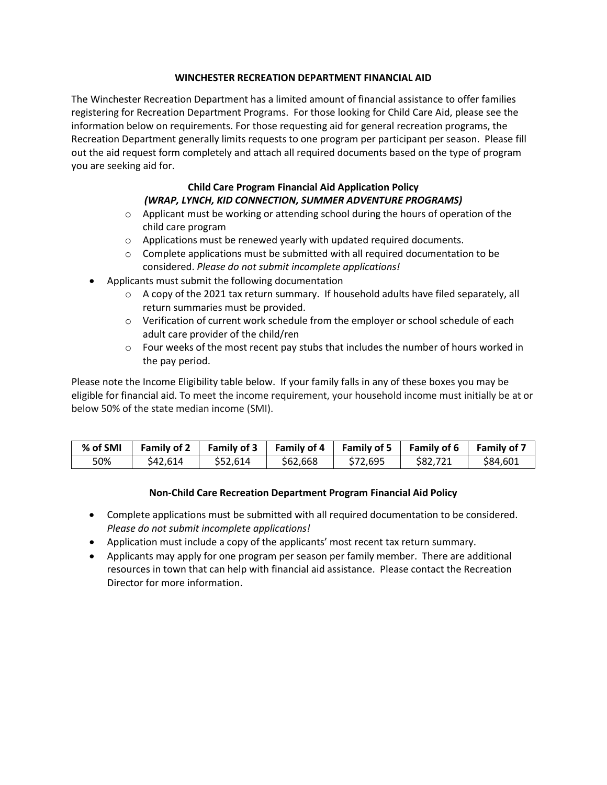## **WINCHESTER RECREATION DEPARTMENT FINANCIAL AID**

The Winchester Recreation Department has a limited amount of financial assistance to offer families registering for Recreation Department Programs. For those looking for Child Care Aid, please see the information below on requirements. For those requesting aid for general recreation programs, the Recreation Department generally limits requests to one program per participant per season. Please fill out the aid request form completely and attach all required documents based on the type of program you are seeking aid for.

## **Child Care Program Financial Aid Application Policy**  *(WRAP, LYNCH, KID CONNECTION, SUMMER ADVENTURE PROGRAMS)*

- $\circ$  Applicant must be working or attending school during the hours of operation of the child care program
- o Applications must be renewed yearly with updated required documents.
- $\circ$  Complete applications must be submitted with all required documentation to be considered. *Please do not submit incomplete applications!*
- Applicants must submit the following documentation
	- $\circ$  A copy of the 2021 tax return summary. If household adults have filed separately, all return summaries must be provided.
	- $\circ$  Verification of current work schedule from the employer or school schedule of each adult care provider of the child/ren
	- $\circ$  Four weeks of the most recent pay stubs that includes the number of hours worked in the pay period.

Please note the Income Eligibility table below. If your family falls in any of these boxes you may be eligible for financial aid. To meet the income requirement, your household income must initially be at or below 50% of the state median income (SMI).

| % of SMI | <b>Family of 2</b> |          | Family of 3 Family of 4 | <b>Family of 5</b> | <b>Family of 6</b> | <b>Family of 7</b> |
|----------|--------------------|----------|-------------------------|--------------------|--------------------|--------------------|
| 50%      | \$42.614           | \$52.614 | \$62,668                | \$72.695           | \$82.721           | \$84,601           |

## **Non-Child Care Recreation Department Program Financial Aid Policy**

- Complete applications must be submitted with all required documentation to be considered. *Please do not submit incomplete applications!*
- Application must include a copy of the applicants' most recent tax return summary.
- Applicants may apply for one program per season per family member. There are additional resources in town that can help with financial aid assistance. Please contact the Recreation Director for more information.